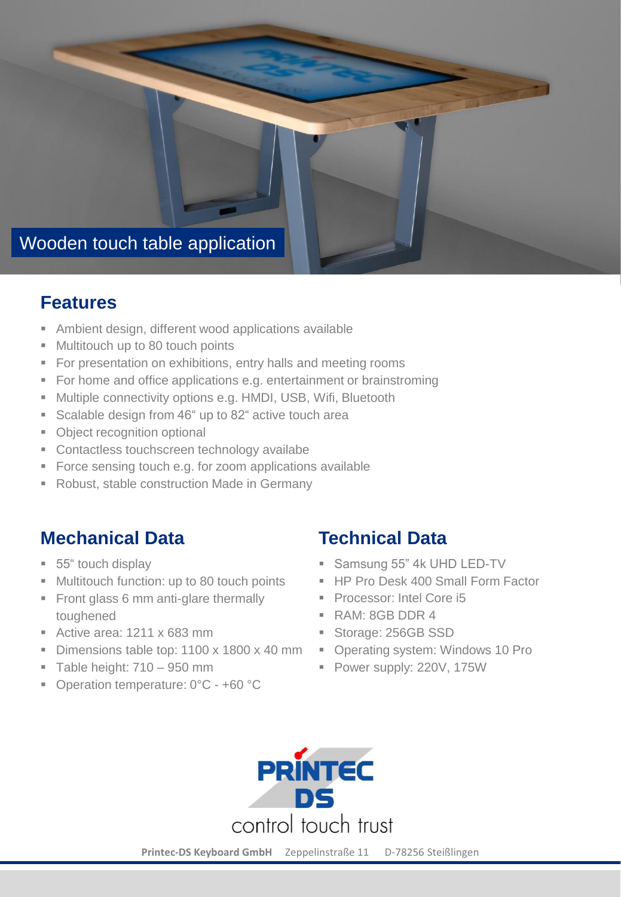

#### **Features**

- Ambient design, different wood applications available
- Multitouch up to 80 touch points
- **For presentation on exhibitions, entry halls and meeting rooms**
- For home and office applications e.g. entertainment or brainstroming
- **E** Multiple connectivity options e.g. HMDI, USB, Wifi, Bluetooth
- Scalable design from 46" up to 82" active touch area
- **Object recognition optional**
- Contactless touchscreen technology availabe
- Force sensing touch e.g. for zoom applications available
- Robust, stable construction Made in Germany

# **Mechanical Data**

- 55" touch display
- Multitouch function: up to 80 touch points
- **Front glass 6 mm anti-glare thermally** toughened
- $\blacksquare$  Active area: 1211 x 683 mm
- **Dimensions table top: 1100 x 1800 x 40 mm**
- $\blacksquare$  Table height: 710 950 mm
- Operation temperature: 0°C +60 °C

## **Technical Data**

- **B** Samsung 55" 4k UHD LED-TV
- HP Pro Desk 400 Small Form Factor
- **Processor: Intel Core i5**
- RAM: 8GB DDR 4
- Storage: 256GB SSD
- Operating system: Windows 10 Pro
- **Power supply: 220V, 175W**



**Printec-DS Keyboard GmbH** Zeppelinstraße 11 D-78256 Steißlingen